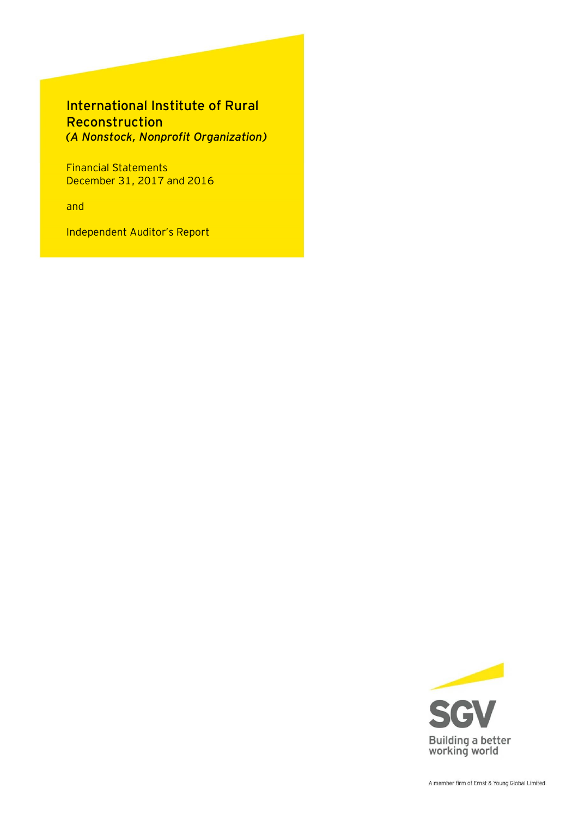# International Institute of Rural Reconstruction *(A Nonstock, Nonprofit Organization)*

Financial Statements December 31, 2017 and 2016

and

Independent Auditor's Report

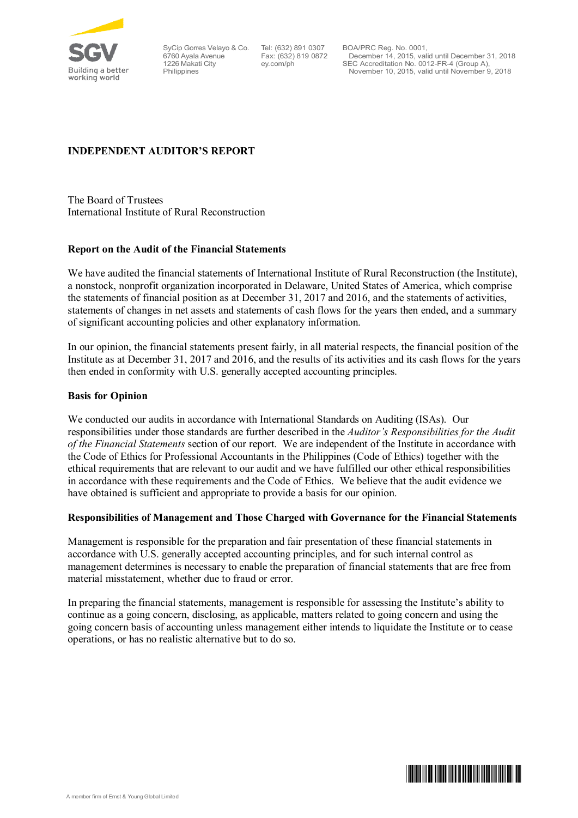

SyCip Gorres Velayo & Co. Tel: (632) 891 0307 6760 Ayala Avenue 1226 Makati City Philippines

Fax: (632) 819 0872 ey.com/ph

BOA/PRC Reg. No. 0001, December 14, 2015, valid until December 31, 2018 SEC Accreditation No. 0012-FR-4 (Group A), November 10, 2015, valid until November 9, 2018

# **INDEPENDENT AUDITOR'S REPORT**

The Board of Trustees International Institute of Rural Reconstruction

# **Report on the Audit of the Financial Statements**

We have audited the financial statements of International Institute of Rural Reconstruction (the Institute), a nonstock, nonprofit organization incorporated in Delaware, United States of America, which comprise the statements of financial position as at December 31, 2017 and 2016, and the statements of activities, statements of changes in net assets and statements of cash flows for the years then ended, and a summary of significant accounting policies and other explanatory information.

In our opinion, the financial statements present fairly, in all material respects, the financial position of the Institute as at December 31, 2017 and 2016, and the results of its activities and its cash flows for the years then ended in conformity with U.S. generally accepted accounting principles.

# **Basis for Opinion**

We conducted our audits in accordance with International Standards on Auditing (ISAs). Our responsibilities under those standards are further described in the *Auditor's Responsibilities for the Audit of the Financial Statements* section of our report. We are independent of the Institute in accordance with the Code of Ethics for Professional Accountants in the Philippines (Code of Ethics) together with the ethical requirements that are relevant to our audit and we have fulfilled our other ethical responsibilities in accordance with these requirements and the Code of Ethics. We believe that the audit evidence we have obtained is sufficient and appropriate to provide a basis for our opinion.

## **Responsibilities of Management and Those Charged with Governance for the Financial Statements**

Management is responsible for the preparation and fair presentation of these financial statements in accordance with U.S. generally accepted accounting principles, and for such internal control as management determines is necessary to enable the preparation of financial statements that are free from material misstatement, whether due to fraud or error.

In preparing the financial statements, management is responsible for assessing the Institute's ability to continue as a going concern, disclosing, as applicable, matters related to going concern and using the going concern basis of accounting unless management either intends to liquidate the Institute or to cease operations, or has no realistic alternative but to do so.

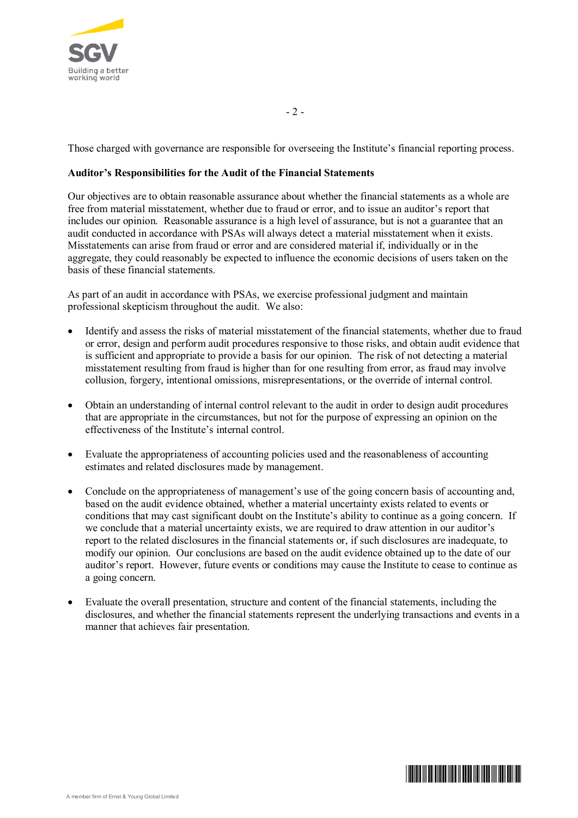

Those charged with governance are responsible for overseeing the Institute's financial reporting process.

 $-2-$ 

# **Auditor's Responsibilities for the Audit of the Financial Statements**

Our objectives are to obtain reasonable assurance about whether the financial statements as a whole are free from material misstatement, whether due to fraud or error, and to issue an auditor's report that includes our opinion. Reasonable assurance is a high level of assurance, but is not a guarantee that an audit conducted in accordance with PSAs will always detect a material misstatement when it exists. Misstatements can arise from fraud or error and are considered material if, individually or in the aggregate, they could reasonably be expected to influence the economic decisions of users taken on the basis of these financial statements.

As part of an audit in accordance with PSAs, we exercise professional judgment and maintain professional skepticism throughout the audit. We also:

- ∂ Identify and assess the risks of material misstatement of the financial statements, whether due to fraud or error, design and perform audit procedures responsive to those risks, and obtain audit evidence that is sufficient and appropriate to provide a basis for our opinion. The risk of not detecting a material misstatement resulting from fraud is higher than for one resulting from error, as fraud may involve collusion, forgery, intentional omissions, misrepresentations, or the override of internal control.
- ∂ Obtain an understanding of internal control relevant to the audit in order to design audit procedures that are appropriate in the circumstances, but not for the purpose of expressing an opinion on the effectiveness of the Institute's internal control.
- ∂ Evaluate the appropriateness of accounting policies used and the reasonableness of accounting estimates and related disclosures made by management.
- ∂ Conclude on the appropriateness of management's use of the going concern basis of accounting and, based on the audit evidence obtained, whether a material uncertainty exists related to events or conditions that may cast significant doubt on the Institute's ability to continue as a going concern. If we conclude that a material uncertainty exists, we are required to draw attention in our auditor's report to the related disclosures in the financial statements or, if such disclosures are inadequate, to modify our opinion. Our conclusions are based on the audit evidence obtained up to the date of our auditor's report. However, future events or conditions may cause the Institute to cease to continue as a going concern.
- ∂ Evaluate the overall presentation, structure and content of the financial statements, including the disclosures, and whether the financial statements represent the underlying transactions and events in a manner that achieves fair presentation.

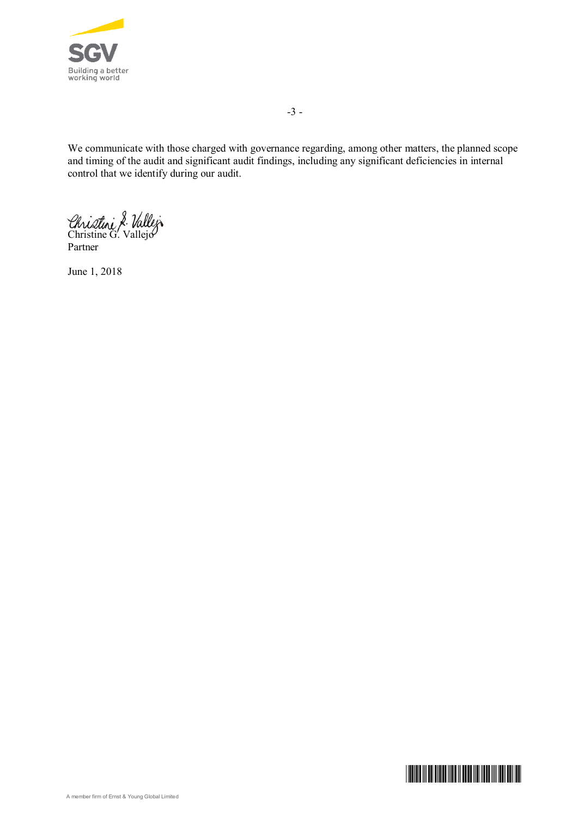

-3 -

We communicate with those charged with governance regarding, among other matters, the planned scope and timing of the audit and significant audit findings, including any significant deficiencies in internal control that we identify during our audit.

Christini & Vallej

Partner

June 1, 2018

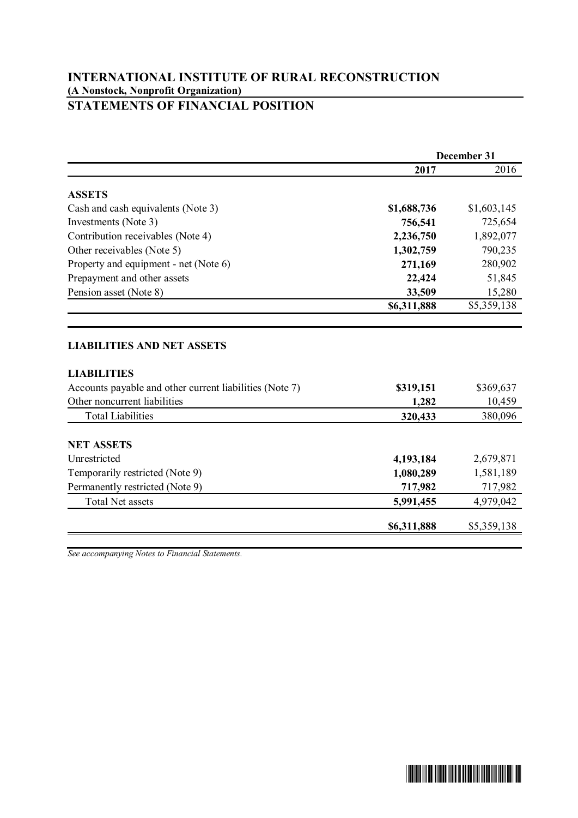# **STATEMENTS OF FINANCIAL POSITION**

|                                                                                                                                           | December 31                                    |                                                |
|-------------------------------------------------------------------------------------------------------------------------------------------|------------------------------------------------|------------------------------------------------|
|                                                                                                                                           | 2017                                           | 2016                                           |
| <b>ASSETS</b>                                                                                                                             |                                                |                                                |
| Cash and cash equivalents (Note 3)                                                                                                        | \$1,688,736                                    | \$1,603,145                                    |
| Investments (Note 3)                                                                                                                      | 756,541                                        | 725,654                                        |
| Contribution receivables (Note 4)                                                                                                         | 2,236,750                                      | 1,892,077                                      |
| Other receivables (Note 5)                                                                                                                | 1,302,759                                      | 790,235                                        |
| Property and equipment - net (Note 6)                                                                                                     | 271,169                                        | 280,902                                        |
| Prepayment and other assets                                                                                                               | 22,424                                         | 51,845                                         |
| Pension asset (Note 8)                                                                                                                    | 33,509                                         | 15,280                                         |
|                                                                                                                                           | \$6,311,888                                    | \$5,359,138                                    |
| <b>LIABILITIES</b><br>Accounts payable and other current liabilities (Note 7)<br>Other noncurrent liabilities<br><b>Total Liabilities</b> | \$319,151<br>1,282<br>320,433                  | \$369,637<br>10,459<br>380,096                 |
| <b>NET ASSETS</b><br>Unrestricted<br>Temporarily restricted (Note 9)<br>Permanently restricted (Note 9)<br><b>Total Net assets</b>        | 4,193,184<br>1,080,289<br>717,982<br>5,991,455 | 2,679,871<br>1,581,189<br>717,982<br>4,979,042 |
|                                                                                                                                           | \$6,311,888                                    | \$5,359,138                                    |
|                                                                                                                                           |                                                |                                                |

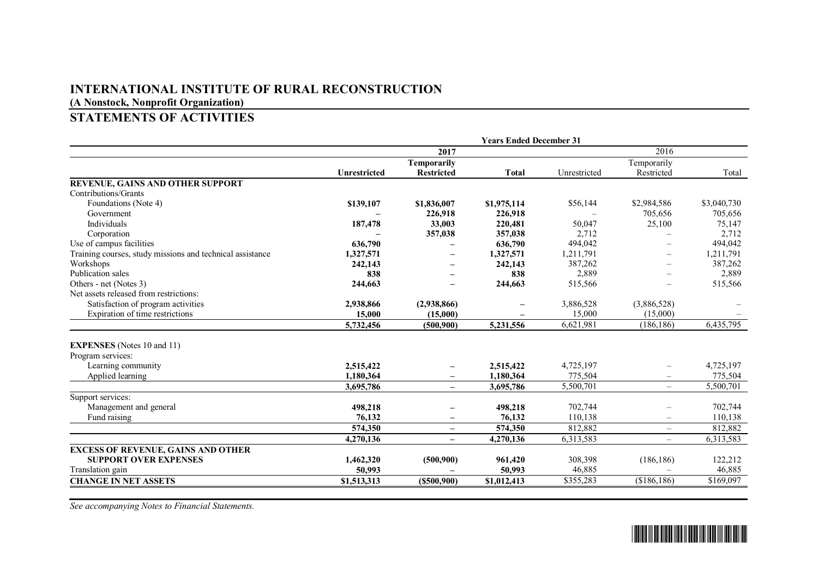# **INTERNATIONAL INSTITUTE OF RURAL RECONSTRUCTION**

**(A Nonstock, Nonprofit Organization)**

# **STATEMENTS OF ACTIVITIES**

|                                                           |                     |                          | <b>Years Ended December 31</b> |              |                          |             |
|-----------------------------------------------------------|---------------------|--------------------------|--------------------------------|--------------|--------------------------|-------------|
|                                                           |                     | 2017                     |                                |              | 2016                     |             |
|                                                           |                     | Temporarily              |                                |              | Temporarily              |             |
|                                                           | <b>Unrestricted</b> | <b>Restricted</b>        | <b>Total</b>                   | Unrestricted | Restricted               | Total       |
| REVENUE, GAINS AND OTHER SUPPORT                          |                     |                          |                                |              |                          |             |
| Contributions/Grants                                      |                     |                          |                                |              |                          |             |
| Foundations (Note 4)                                      | \$139,107           | \$1,836,007              | \$1,975,114                    | \$56,144     | \$2,984,586              | \$3,040,730 |
| Government                                                |                     | 226,918                  | 226,918                        |              | 705,656                  | 705,656     |
| <b>Individuals</b>                                        | 187,478             | 33,003                   | 220,481                        | 50,047       | 25,100                   | 75,147      |
| Corporation                                               |                     | 357,038                  | 357,038                        | 2,712        |                          | 2,712       |
| Use of campus facilities                                  | 636,790             |                          | 636,790                        | 494,042      |                          | 494,042     |
| Training courses, study missions and technical assistance | 1,327,571           | $\qquad \qquad -$        | 1,327,571                      | 1,211,791    | $\overline{\phantom{0}}$ | 1,211,791   |
| Workshops                                                 | 242,143             |                          | 242,143                        | 387,262      | $\overline{\phantom{0}}$ | 387,262     |
| Publication sales                                         | 838                 |                          | 838                            | 2,889        |                          | 2,889       |
| Others - net (Notes 3)                                    | 244,663             |                          | 244,663                        | 515,566      |                          | 515,566     |
| Net assets released from restrictions:                    |                     |                          |                                |              |                          |             |
| Satisfaction of program activities                        | 2,938,866           | (2,938,866)              |                                | 3,886,528    | (3,886,528)              |             |
| Expiration of time restrictions                           | 15,000              | (15,000)                 |                                | 15,000       | (15,000)                 |             |
|                                                           | 5,732,456           | (500.900)                | 5,231,556                      | 6,621,981    | (186, 186)               | 6,435,795   |
| <b>EXPENSES</b> (Notes 10 and 11)                         |                     |                          |                                |              |                          |             |
| Program services:                                         |                     |                          |                                |              |                          |             |
| Learning community                                        | 2,515,422           |                          | 2,515,422                      | 4,725,197    |                          | 4,725,197   |
| Applied learning                                          | 1,180,364           |                          | 1,180,364                      | 775,504      |                          | 775,504     |
|                                                           | 3,695,786           | $\overline{\phantom{m}}$ | 3,695,786                      | 5,500,701    | $\qquad \qquad -$        | 5,500,701   |
| Support services:                                         |                     |                          |                                |              |                          |             |
| Management and general                                    | 498,218             |                          | 498,218                        | 702,744      |                          | 702,744     |
| Fund raising                                              | 76,132              |                          | 76,132                         | 110,138      | $\overline{\phantom{0}}$ | 110,138     |
|                                                           | 574,350             | $\!-$                    | 574,350                        | 812,882      | $\overline{\phantom{0}}$ | 812,882     |
|                                                           | 4,270,136           | $\qquad \qquad -$        | 4,270,136                      | 6,313,583    | $\overline{\phantom{0}}$ | 6,313,583   |
| <b>EXCESS OF REVENUE, GAINS AND OTHER</b>                 |                     |                          |                                |              |                          |             |
| <b>SUPPORT OVER EXPENSES</b>                              | 1,462,320           | (500, 900)               | 961,420                        | 308,398      | (186, 186)               | 122,212     |
| Translation gain                                          | 50,993              |                          | 50,993                         | 46,885       |                          | 46,885      |
| <b>CHANGE IN NET ASSETS</b>                               | \$1,513,313         | (S500, 900)              | \$1,012,413                    | \$355,283    | (\$186,186)              | \$169,097   |

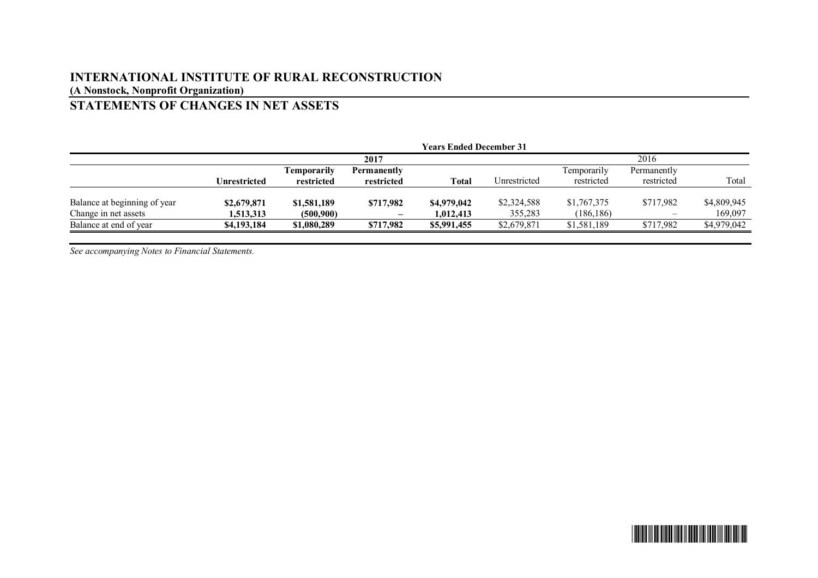# **STATEMENTS OF CHANGES IN NET ASSETS**

|                              |              |                    |                                | <b>Years Ended December 31</b> |              |                    |                              |             |
|------------------------------|--------------|--------------------|--------------------------------|--------------------------------|--------------|--------------------|------------------------------|-------------|
|                              |              | 2017               |                                |                                |              | 2016               |                              |             |
|                              |              | <b>Temporarily</b> | <b>Permanently</b>             |                                |              | <b>Temporarily</b> | Permanently                  |             |
|                              | Unrestricted | restricted         | restricted                     | Total                          | Unrestricted | restricted         | restricted                   | Total       |
| Balance at beginning of year | \$2,679,871  | \$1,581,189        | \$717,982                      | \$4,979,042                    | \$2,324,588  | \$1,767,375        | \$717,982                    | \$4,809,945 |
| Change in net assets         | 1,513,313    | (500, 900)         | $\qquad \qquad \longleftarrow$ | 1.012.413                      | 355,283      | (186, 186)         | $\qquad \qquad \blacksquare$ | 169,097     |
| Balance at end of year       | \$4,193,184  | \$1,080,289        | \$717,982                      | \$5,991,455                    | \$2,679,871  | \$1,581,189        | \$717,982                    | \$4,979,042 |

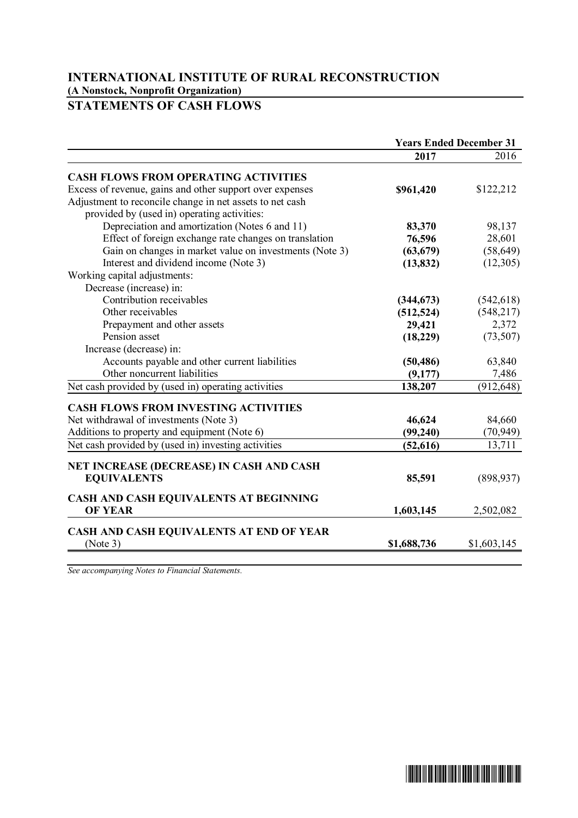# **STATEMENTS OF CASH FLOWS**

|                                                          | <b>Years Ended December 31</b> |             |
|----------------------------------------------------------|--------------------------------|-------------|
|                                                          | 2017                           | 2016        |
| <b>CASH FLOWS FROM OPERATING ACTIVITIES</b>              |                                |             |
| Excess of revenue, gains and other support over expenses | \$961,420                      | \$122,212   |
| Adjustment to reconcile change in net assets to net cash |                                |             |
| provided by (used in) operating activities:              |                                |             |
| Depreciation and amortization (Notes 6 and 11)           | 83,370                         | 98,137      |
| Effect of foreign exchange rate changes on translation   | 76,596                         | 28,601      |
| Gain on changes in market value on investments (Note 3)  | (63, 679)                      | (58, 649)   |
| Interest and dividend income (Note 3)                    | (13, 832)                      | (12,305)    |
| Working capital adjustments:                             |                                |             |
| Decrease (increase) in:                                  |                                |             |
| Contribution receivables                                 | (344, 673)                     | (542, 618)  |
| Other receivables                                        | (512, 524)                     | (548, 217)  |
| Prepayment and other assets                              | 29,421                         | 2,372       |
| Pension asset                                            | (18, 229)                      | (73, 507)   |
| Increase (decrease) in:                                  |                                |             |
| Accounts payable and other current liabilities           | (50, 486)                      | 63,840      |
| Other noncurrent liabilities                             | (9,177)                        | 7,486       |
| Net cash provided by (used in) operating activities      | 138,207                        | (912, 648)  |
| <b>CASH FLOWS FROM INVESTING ACTIVITIES</b>              |                                |             |
| Net withdrawal of investments (Note 3)                   | 46,624                         | 84,660      |
| Additions to property and equipment (Note 6)             | (99, 240)                      | (70, 949)   |
| Net cash provided by (used in) investing activities      | (52, 616)                      | 13,711      |
| NET INCREASE (DECREASE) IN CASH AND CASH                 |                                |             |
| <b>EQUIVALENTS</b>                                       | 85,591                         | (898, 937)  |
| CASH AND CASH EQUIVALENTS AT BEGINNING                   |                                |             |
| <b>OF YEAR</b>                                           | 1,603,145                      | 2,502,082   |
| CASH AND CASH EQUIVALENTS AT END OF YEAR                 |                                |             |
| (Note 3)                                                 | \$1,688,736                    | \$1,603,145 |

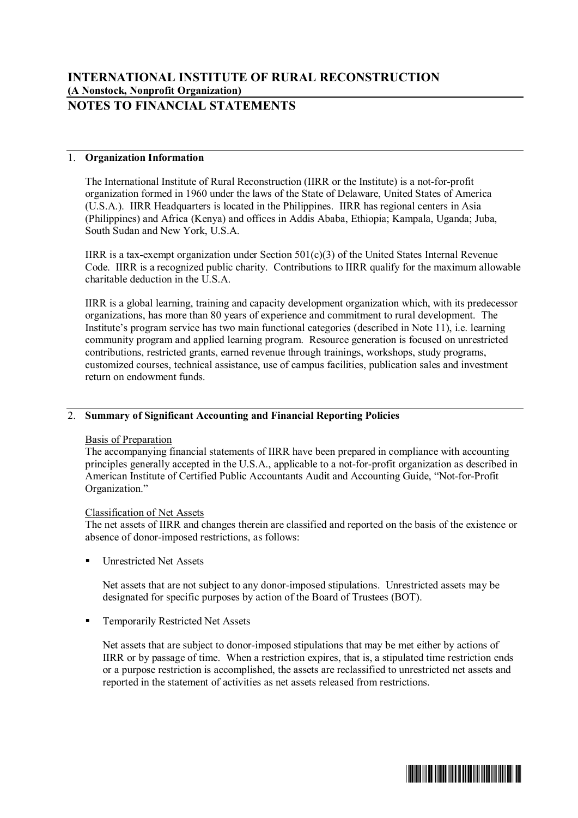# **NOTES TO FINANCIAL STATEMENTS**

# 1. **Organization Information**

The International Institute of Rural Reconstruction (IIRR or the Institute) is a not-for-profit organization formed in 1960 under the laws of the State of Delaware, United States of America (U.S.A.). IIRR Headquarters is located in the Philippines. IIRR has regional centers in Asia (Philippines) and Africa (Kenya) and offices in Addis Ababa, Ethiopia; Kampala, Uganda; Juba, South Sudan and New York, U.S.A.

IIRR is a tax-exempt organization under Section 501(c)(3) of the United States Internal Revenue Code. IIRR is a recognized public charity. Contributions to IIRR qualify for the maximum allowable charitable deduction in the  $\overline{US}$  A

IIRR is a global learning, training and capacity development organization which, with its predecessor organizations, has more than 80 years of experience and commitment to rural development. The Institute's program service has two main functional categories (described in Note 11), i.e. learning community program and applied learning program. Resource generation is focused on unrestricted contributions, restricted grants, earned revenue through trainings, workshops, study programs, customized courses, technical assistance, use of campus facilities, publication sales and investment return on endowment funds.

# 2. **Summary of Significant Accounting and Financial Reporting Policies**

## Basis of Preparation

The accompanying financial statements of IIRR have been prepared in compliance with accounting principles generally accepted in the U.S.A., applicable to a not-for-profit organization as described in American Institute of Certified Public Accountants Audit and Accounting Guide, "Not-for-Profit Organization."

## Classification of Net Assets

The net assets of IIRR and changes therein are classified and reported on the basis of the existence or absence of donor-imposed restrictions, as follows:

■ Unrestricted Net Assets

Net assets that are not subject to any donor-imposed stipulations. Unrestricted assets may be designated for specific purposes by action of the Board of Trustees (BOT).

■ Temporarily Restricted Net Assets

Net assets that are subject to donor-imposed stipulations that may be met either by actions of IIRR or by passage of time. When a restriction expires, that is, a stipulated time restriction ends or a purpose restriction is accomplished, the assets are reclassified to unrestricted net assets and reported in the statement of activities as net assets released from restrictions.

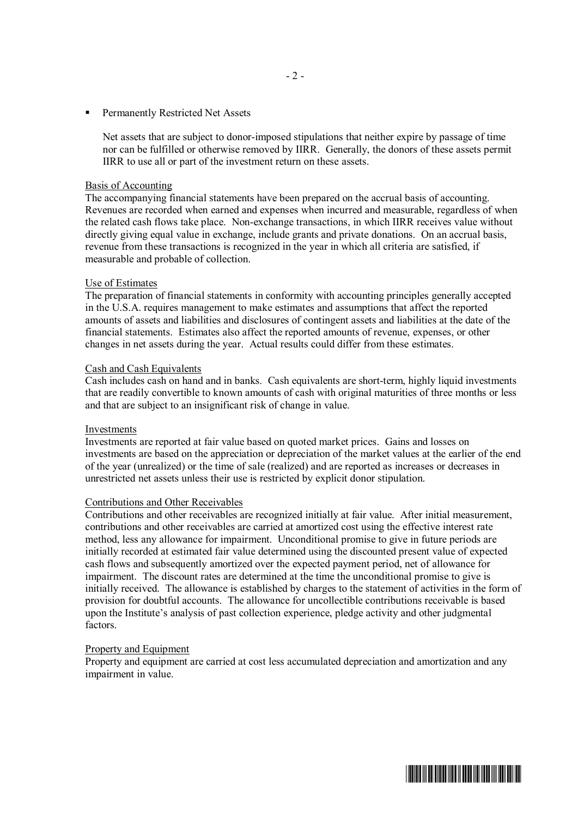■ Permanently Restricted Net Assets

Net assets that are subject to donor-imposed stipulations that neither expire by passage of time nor can be fulfilled or otherwise removed by IIRR. Generally, the donors of these assets permit IIRR to use all or part of the investment return on these assets.

#### Basis of Accounting

The accompanying financial statements have been prepared on the accrual basis of accounting. Revenues are recorded when earned and expenses when incurred and measurable, regardless of when the related cash flows take place. Non-exchange transactions, in which IIRR receives value without directly giving equal value in exchange, include grants and private donations. On an accrual basis, revenue from these transactions is recognized in the year in which all criteria are satisfied, if measurable and probable of collection.

#### Use of Estimates

The preparation of financial statements in conformity with accounting principles generally accepted in the U.S.A. requires management to make estimates and assumptions that affect the reported amounts of assets and liabilities and disclosures of contingent assets and liabilities at the date of the financial statements. Estimates also affect the reported amounts of revenue, expenses, or other changes in net assets during the year. Actual results could differ from these estimates.

#### Cash and Cash Equivalents

Cash includes cash on hand and in banks. Cash equivalents are short-term, highly liquid investments that are readily convertible to known amounts of cash with original maturities of three months or less and that are subject to an insignificant risk of change in value.

#### Investments

Investments are reported at fair value based on quoted market prices. Gains and losses on investments are based on the appreciation or depreciation of the market values at the earlier of the end of the year (unrealized) or the time of sale (realized) and are reported as increases or decreases in unrestricted net assets unless their use is restricted by explicit donor stipulation.

#### Contributions and Other Receivables

Contributions and other receivables are recognized initially at fair value. After initial measurement, contributions and other receivables are carried at amortized cost using the effective interest rate method, less any allowance for impairment. Unconditional promise to give in future periods are initially recorded at estimated fair value determined using the discounted present value of expected cash flows and subsequently amortized over the expected payment period, net of allowance for impairment. The discount rates are determined at the time the unconditional promise to give is initially received. The allowance is established by charges to the statement of activities in the form of provision for doubtful accounts. The allowance for uncollectible contributions receivable is based upon the Institute's analysis of past collection experience, pledge activity and other judgmental factors.

### Property and Equipment

Property and equipment are carried at cost less accumulated depreciation and amortization and any impairment in value.

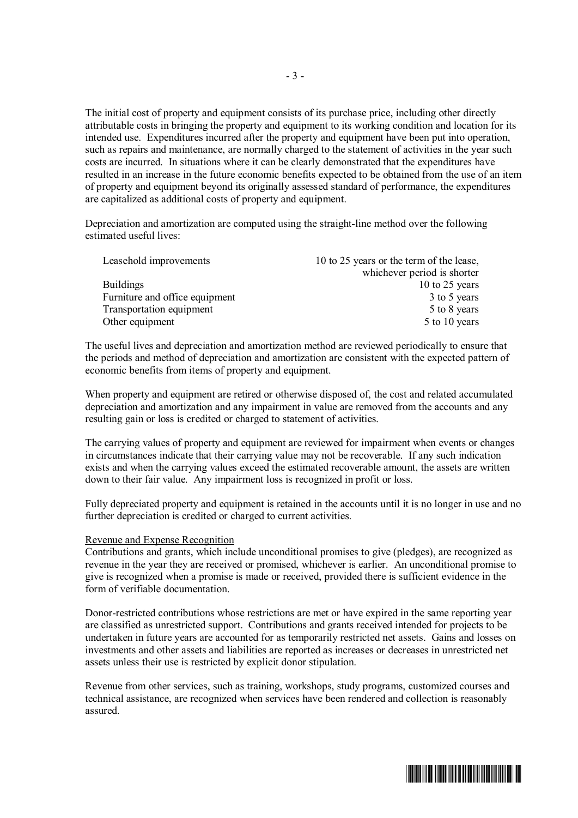The initial cost of property and equipment consists of its purchase price, including other directly attributable costs in bringing the property and equipment to its working condition and location for its intended use. Expenditures incurred after the property and equipment have been put into operation, such as repairs and maintenance, are normally charged to the statement of activities in the year such costs are incurred. In situations where it can be clearly demonstrated that the expenditures have resulted in an increase in the future economic benefits expected to be obtained from the use of an item of property and equipment beyond its originally assessed standard of performance, the expenditures are capitalized as additional costs of property and equipment.

Depreciation and amortization are computed using the straight-line method over the following estimated useful lives:

| Leasehold improvements         | 10 to 25 years or the term of the lease, |
|--------------------------------|------------------------------------------|
|                                | whichever period is shorter              |
| <b>Buildings</b>               | 10 to 25 years                           |
| Furniture and office equipment | 3 to 5 years                             |
| Transportation equipment       | 5 to 8 years                             |
| Other equipment                | 5 to 10 years                            |

The useful lives and depreciation and amortization method are reviewed periodically to ensure that the periods and method of depreciation and amortization are consistent with the expected pattern of economic benefits from items of property and equipment.

When property and equipment are retired or otherwise disposed of, the cost and related accumulated depreciation and amortization and any impairment in value are removed from the accounts and any resulting gain or loss is credited or charged to statement of activities.

The carrying values of property and equipment are reviewed for impairment when events or changes in circumstances indicate that their carrying value may not be recoverable. If any such indication exists and when the carrying values exceed the estimated recoverable amount, the assets are written down to their fair value. Any impairment loss is recognized in profit or loss.

Fully depreciated property and equipment is retained in the accounts until it is no longer in use and no further depreciation is credited or charged to current activities.

#### Revenue and Expense Recognition

Contributions and grants, which include unconditional promises to give (pledges), are recognized as revenue in the year they are received or promised, whichever is earlier. An unconditional promise to give is recognized when a promise is made or received, provided there is sufficient evidence in the form of verifiable documentation.

Donor-restricted contributions whose restrictions are met or have expired in the same reporting year are classified as unrestricted support. Contributions and grants received intended for projects to be undertaken in future years are accounted for as temporarily restricted net assets. Gains and losses on investments and other assets and liabilities are reported as increases or decreases in unrestricted net assets unless their use is restricted by explicit donor stipulation.

Revenue from other services, such as training, workshops, study programs, customized courses and technical assistance, are recognized when services have been rendered and collection is reasonably assured.

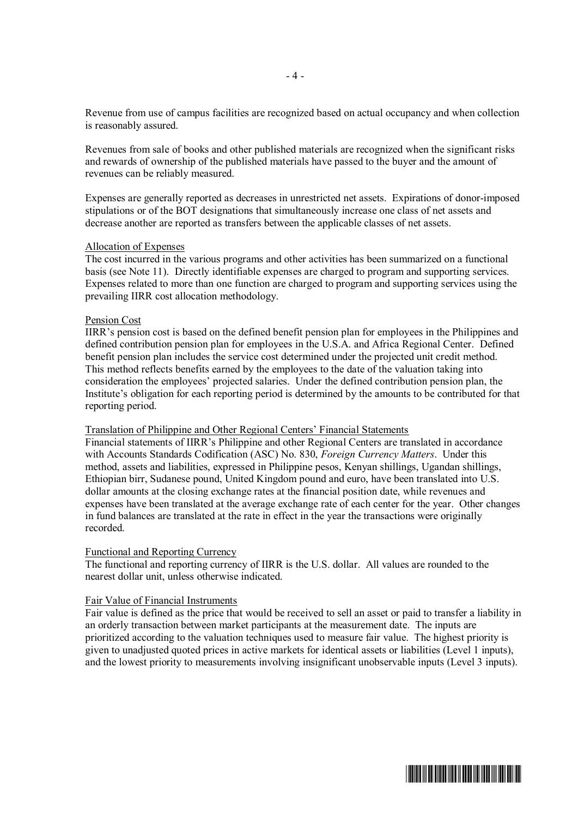Revenue from use of campus facilities are recognized based on actual occupancy and when collection is reasonably assured.

Revenues from sale of books and other published materials are recognized when the significant risks and rewards of ownership of the published materials have passed to the buyer and the amount of revenues can be reliably measured.

Expenses are generally reported as decreases in unrestricted net assets. Expirations of donor-imposed stipulations or of the BOT designations that simultaneously increase one class of net assets and decrease another are reported as transfers between the applicable classes of net assets.

#### Allocation of Expenses

The cost incurred in the various programs and other activities has been summarized on a functional basis (see Note 11). Directly identifiable expenses are charged to program and supporting services. Expenses related to more than one function are charged to program and supporting services using the prevailing IIRR cost allocation methodology.

#### Pension Cost

IIRR's pension cost is based on the defined benefit pension plan for employees in the Philippines and defined contribution pension plan for employees in the U.S.A. and Africa Regional Center. Defined benefit pension plan includes the service cost determined under the projected unit credit method. This method reflects benefits earned by the employees to the date of the valuation taking into consideration the employees' projected salaries. Under the defined contribution pension plan, the Institute's obligation for each reporting period is determined by the amounts to be contributed for that reporting period.

### Translation of Philippine and Other Regional Centers' Financial Statements

Financial statements of IIRR's Philippine and other Regional Centers are translated in accordance with Accounts Standards Codification (ASC) No. 830, *Foreign Currency Matters*. Under this method, assets and liabilities, expressed in Philippine pesos, Kenyan shillings, Ugandan shillings, Ethiopian birr, Sudanese pound, United Kingdom pound and euro, have been translated into U.S. dollar amounts at the closing exchange rates at the financial position date, while revenues and expenses have been translated at the average exchange rate of each center for the year. Other changes in fund balances are translated at the rate in effect in the year the transactions were originally recorded.

#### Functional and Reporting Currency

The functional and reporting currency of IIRR is the U.S. dollar. All values are rounded to the nearest dollar unit, unless otherwise indicated.

#### Fair Value of Financial Instruments

Fair value is defined as the price that would be received to sell an asset or paid to transfer a liability in an orderly transaction between market participants at the measurement date. The inputs are prioritized according to the valuation techniques used to measure fair value. The highest priority is given to unadjusted quoted prices in active markets for identical assets or liabilities (Level 1 inputs), and the lowest priority to measurements involving insignificant unobservable inputs (Level 3 inputs).

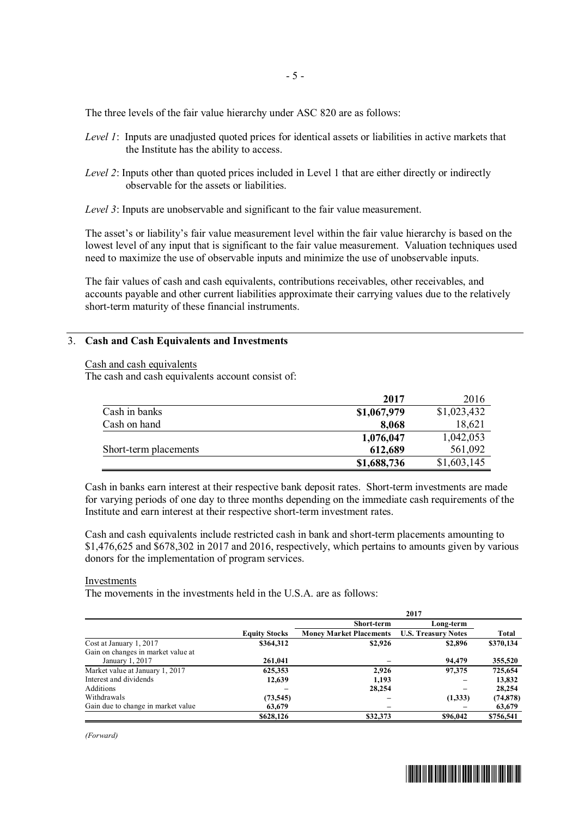The three levels of the fair value hierarchy under ASC 820 are as follows:

- *Level 1*: Inputs are unadjusted quoted prices for identical assets or liabilities in active markets that the Institute has the ability to access.
- *Level 2*: Inputs other than quoted prices included in Level 1 that are either directly or indirectly observable for the assets or liabilities.
- *Level 3*: Inputs are unobservable and significant to the fair value measurement.

The asset's or liability's fair value measurement level within the fair value hierarchy is based on the lowest level of any input that is significant to the fair value measurement. Valuation techniques used need to maximize the use of observable inputs and minimize the use of unobservable inputs.

The fair values of cash and cash equivalents, contributions receivables, other receivables, and accounts payable and other current liabilities approximate their carrying values due to the relatively short-term maturity of these financial instruments.

#### 3. **Cash and Cash Equivalents and Investments**

|  |  |  | Cash and cash equivalents |
|--|--|--|---------------------------|
|--|--|--|---------------------------|

The cash and cash equivalents account consist of:

|                       | 2017        | 2016        |
|-----------------------|-------------|-------------|
| Cash in banks         | \$1,067,979 | \$1,023,432 |
| Cash on hand          | 8,068       | 18,621      |
|                       | 1,076,047   | 1,042,053   |
| Short-term placements | 612,689     | 561,092     |
|                       | \$1,688,736 | \$1,603,145 |

Cash in banks earn interest at their respective bank deposit rates. Short-term investments are made for varying periods of one day to three months depending on the immediate cash requirements of the Institute and earn interest at their respective short-term investment rates.

Cash and cash equivalents include restricted cash in bank and short-term placements amounting to \$1,476,625 and \$678,302 in 2017 and 2016, respectively, which pertains to amounts given by various donors for the implementation of program services.

#### Investments

The movements in the investments held in the U.S.A. are as follows:

|                                    |                      | 2017                           |                            |           |
|------------------------------------|----------------------|--------------------------------|----------------------------|-----------|
|                                    |                      | <b>Short-term</b>              | Long-term                  |           |
|                                    | <b>Equity Stocks</b> | <b>Money Market Placements</b> | <b>U.S. Treasury Notes</b> | Total     |
| Cost at January 1, 2017            | \$364,312            | \$2,926                        | \$2,896                    | \$370,134 |
| Gain on changes in market value at |                      |                                |                            |           |
| January 1, 2017                    | 261,041              |                                | 94,479                     | 355,520   |
| Market value at January 1, 2017    | 625,353              | 2,926                          | 97.375                     | 725,654   |
| Interest and dividends             | 12,639               | 1.193                          |                            | 13,832    |
| Additions                          |                      | 28,254                         |                            | 28,254    |
| Withdrawals                        | (73, 545)            |                                | (1,333)                    | (74, 878) |
| Gain due to change in market value | 63,679               |                                |                            | 63,679    |
|                                    | \$628,126            | \$32,373                       | \$96,042                   | \$756.541 |

*(Forward)*

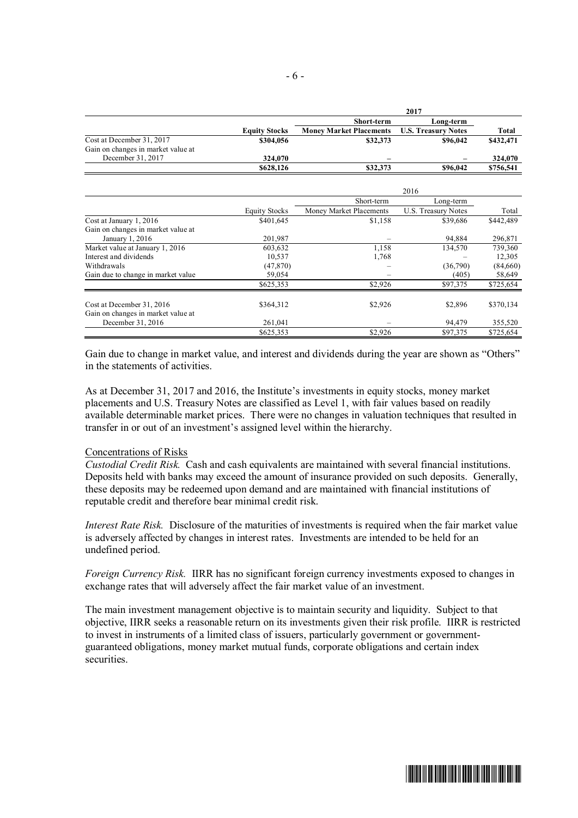|                                    |                      | 2017                           |                            |           |  |
|------------------------------------|----------------------|--------------------------------|----------------------------|-----------|--|
|                                    |                      | <b>Short-term</b>              | Long-term                  |           |  |
|                                    | <b>Equity Stocks</b> | <b>Money Market Placements</b> | <b>U.S. Treasury Notes</b> | Total     |  |
| Cost at December 31, 2017          | \$304,056            | \$32,373                       | \$96,042                   | \$432,471 |  |
| Gain on changes in market value at |                      |                                |                            |           |  |
| December 31, 2017                  | 324,070              | -                              |                            | 324,070   |  |
|                                    | \$628,126            | \$32,373                       | \$96,042                   | \$756,541 |  |

|                                                                 |                      |                         | 2016                |           |
|-----------------------------------------------------------------|----------------------|-------------------------|---------------------|-----------|
|                                                                 |                      | Short-term              | Long-term           |           |
|                                                                 | <b>Equity Stocks</b> | Money Market Placements | U.S. Treasury Notes | Total     |
| Cost at January 1, 2016                                         | \$401.645            | \$1,158                 | \$39,686            | \$442.489 |
| Gain on changes in market value at                              |                      |                         |                     |           |
| January 1, 2016                                                 | 201,987              |                         | 94,884              | 296,871   |
| Market value at January 1, 2016                                 | 603,632              | 1,158                   | 134,570             | 739,360   |
| Interest and dividends                                          | 10,537               | 1,768                   |                     | 12,305    |
| Withdrawals                                                     | (47, 870)            |                         | (36,790)            | (84,660)  |
| Gain due to change in market value                              | 59,054               |                         | (405)               | 58,649    |
|                                                                 | \$625,353            | \$2,926                 | \$97,375            | \$725,654 |
| Cost at December 31, 2016<br>Gain on changes in market value at | \$364,312            | \$2,926                 | \$2,896             | \$370,134 |
| December 31, 2016                                               | 261,041              |                         | 94,479              | 355,520   |
|                                                                 |                      | \$2,926                 | \$97,375            |           |
|                                                                 | \$625,353            |                         |                     | \$725,654 |

Gain due to change in market value, and interest and dividends during the year are shown as "Others" in the statements of activities.

As at December 31, 2017 and 2016, the Institute's investments in equity stocks, money market placements and U.S. Treasury Notes are classified as Level 1, with fair values based on readily available determinable market prices. There were no changes in valuation techniques that resulted in transfer in or out of an investment's assigned level within the hierarchy.

#### Concentrations of Risks

*Custodial Credit Risk.* Cash and cash equivalents are maintained with several financial institutions. Deposits held with banks may exceed the amount of insurance provided on such deposits. Generally, these deposits may be redeemed upon demand and are maintained with financial institutions of reputable credit and therefore bear minimal credit risk.

*Interest Rate Risk.* Disclosure of the maturities of investments is required when the fair market value is adversely affected by changes in interest rates. Investments are intended to be held for an undefined period.

*Foreign Currency Risk.* IIRR has no significant foreign currency investments exposed to changes in exchange rates that will adversely affect the fair market value of an investment.

The main investment management objective is to maintain security and liquidity. Subject to that objective, IIRR seeks a reasonable return on its investments given their risk profile. IIRR is restricted to invest in instruments of a limited class of issuers, particularly government or governmentguaranteed obligations, money market mutual funds, corporate obligations and certain index securities.

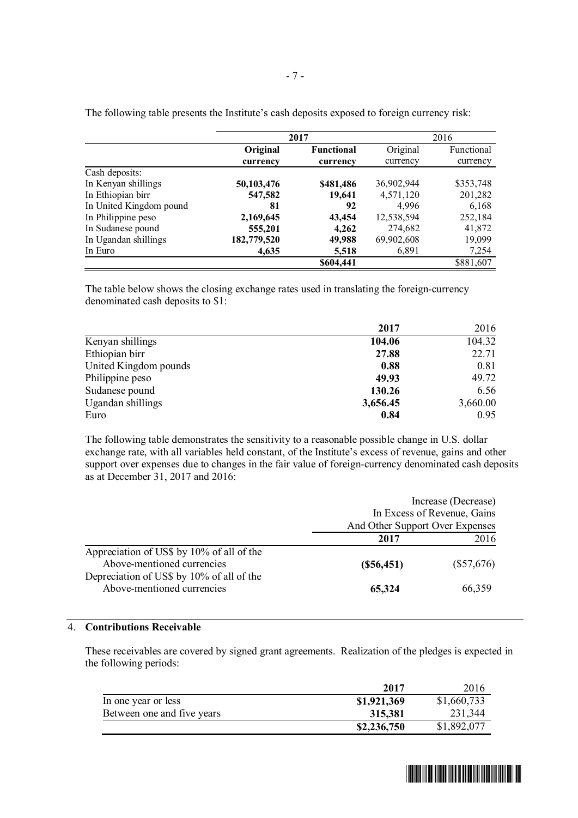|                         |             | 2017              |            | 2016       |
|-------------------------|-------------|-------------------|------------|------------|
|                         | Original    | <b>Functional</b> | Original   | Functional |
|                         | currency    | currency          | currency   | currency   |
| Cash deposits:          |             |                   |            |            |
| In Kenyan shillings     | 50,103,476  | \$481,486         | 36,902,944 | \$353,748  |
| In Ethiopian birr       | 547,582     | 19,641            | 4,571,120  | 201,282    |
| In United Kingdom pound | 81          | 92                | 4.996      | 6,168      |
| In Philippine peso      | 2,169,645   | 43,454            | 12,538,594 | 252,184    |
| In Sudanese pound       | 555,201     | 4,262             | 274,682    | 41,872     |
| In Ugandan shillings    | 182,779,520 | 49,988            | 69,902,608 | 19,099     |
| In Euro                 | 4,635       | 5,518             | 6,891      | 7,254      |
|                         |             | \$604,441         |            | \$881,607  |

The following table presents the Institute's cash deposits exposed to foreign currency risk:

The table below shows the closing exchange rates used in translating the foreign-currency denominated cash deposits to \$1:

|                       | 2017     | 2016     |
|-----------------------|----------|----------|
| Kenyan shillings      | 104.06   | 104.32   |
| Ethiopian birr        | 27.88    | 22.71    |
| United Kingdom pounds | 0.88     | 0.81     |
| Philippine peso       | 49.93    | 49.72    |
| Sudanese pound        | 130.26   | 6.56     |
| Ugandan shillings     | 3,656.45 | 3,660.00 |
| Euro                  | 0.84     | 0.95     |

The following table demonstrates the sensitivity to a reasonable possible change in U.S. dollar exchange rate, with all variables held constant, of the Institute's excess of revenue, gains and other support over expenses due to changes in the fair value of foreign-currency denominated cash deposits as at December 31, 2017 and 2016:

|                                                                         | Increase (Decrease)<br>In Excess of Revenue, Gains |              |
|-------------------------------------------------------------------------|----------------------------------------------------|--------------|
|                                                                         | And Other Support Over Expenses                    |              |
|                                                                         | 2017                                               | 2016         |
| Appreciation of US\$ by 10% of all of the<br>Above-mentioned currencies | $(\$56,451)$                                       | $(\$57,676)$ |
| Depreciation of US\$ by 10% of all of the<br>Above-mentioned currencies | 65,324                                             | 66,359       |

## 4. **Contributions Receivable**

These receivables are covered by signed grant agreements. Realization of the pledges is expected in the following periods:

|                            | 2017        | 2016        |
|----------------------------|-------------|-------------|
| In one year or less        | \$1,921,369 | \$1,660,733 |
| Between one and five years | 315.381     | 231,344     |
|                            | \$2,236,750 | \$1,892,077 |

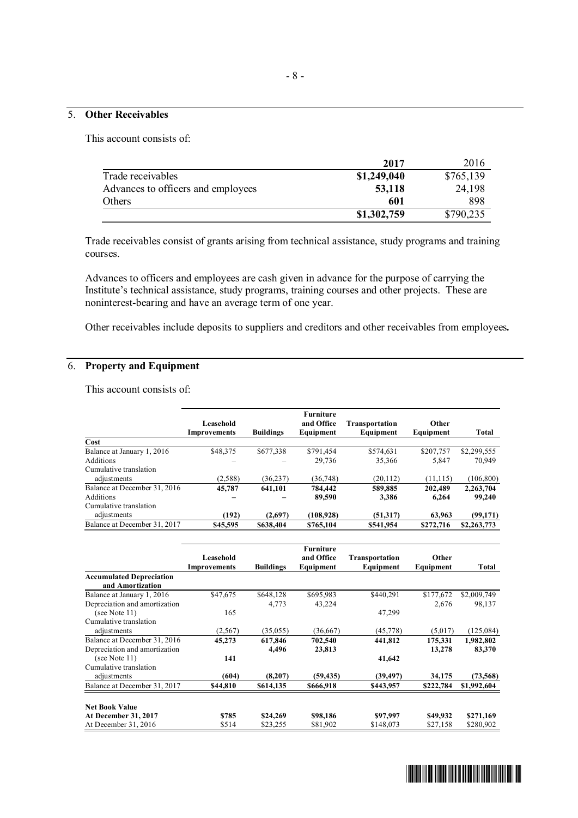# 5. **Other Receivables**

This account consists of:

|                                    | 2017        | 2016      |
|------------------------------------|-------------|-----------|
| Trade receivables                  | \$1,249,040 | \$765,139 |
| Advances to officers and employees | 53,118      | 24,198    |
| Others                             | 601         | 898       |
|                                    | \$1,302,759 | \$790,235 |

Trade receivables consist of grants arising from technical assistance, study programs and training courses.

Advances to officers and employees are cash given in advance for the purpose of carrying the Institute's technical assistance, study programs, training courses and other projects. These are noninterest-bearing and have an average term of one year.

Other receivables include deposits to suppliers and creditors and other receivables from employees*.*

## 6. **Property and Equipment**

This account consists of:

|                              |              |                  | <b>Furniture</b> |                       |           |             |
|------------------------------|--------------|------------------|------------------|-----------------------|-----------|-------------|
|                              | Leasehold    |                  | and Office       | <b>Transportation</b> | Other     |             |
|                              | Improvements | <b>Buildings</b> | Equipment        | Equipment             | Equipment | Total       |
| Cost                         |              |                  |                  |                       |           |             |
| Balance at January 1, 2016   | \$48,375     | \$677,338        | \$791,454        | \$574,631             | \$207,757 | \$2,299,555 |
| Additions                    |              |                  | 29,736           | 35,366                | 5,847     | 70,949      |
| Cumulative translation       |              |                  |                  |                       |           |             |
| adjustments                  | (2,588)      | (36,237)         | (36, 748)        | (20, 112)             | (11, 115) | (106, 800)  |
| Balance at December 31, 2016 | 45,787       | 641,101          | 784.442          | 589,885               | 202,489   | 2,263,704   |
| Additions                    |              |                  | 89,590           | 3,386                 | 6.264     | 99,240      |
| Cumulative translation       |              |                  |                  |                       |           |             |
| adjustments                  | (192)        | (2,697)          | (108,928)        | (51,317)              | 63.963    | (99, 171)   |
| Balance at December 31, 2017 | \$45,595     | \$638,404        | \$765,104        | \$541,954             | \$272,716 | \$2,263,773 |

|                                                     | Leasehold<br>Improvements | <b>Buildings</b> | <b>Furniture</b><br>and Office<br>Equipment | Transportation<br>Equipment | Other<br>Equipment | Total       |
|-----------------------------------------------------|---------------------------|------------------|---------------------------------------------|-----------------------------|--------------------|-------------|
| <b>Accumulated Depreciation</b><br>and Amortization |                           |                  |                                             |                             |                    |             |
| Balance at January 1, 2016                          | \$47,675                  | \$648,128        | \$695,983                                   | \$440,291                   | \$177,672          | \$2,009,749 |
| Depreciation and amortization                       |                           | 4,773            | 43,224                                      |                             | 2,676              | 98,137      |
| (see Note $11$ )                                    | 165                       |                  |                                             | 47,299                      |                    |             |
| Cumulative translation                              |                           |                  |                                             |                             |                    |             |
| adjustments                                         | (2,567)                   | (35,055)         | (36,667)                                    | (45, 778)                   | (5,017)            | (125, 084)  |
| Balance at December 31, 2016                        | 45,273                    | 617,846          | 702,540                                     | 441,812                     | 175.331            | 1,982,802   |
| Depreciation and amortization                       |                           | 4,496            | 23,813                                      |                             | 13,278             | 83,370      |
| (see Note $11$ )                                    | 141                       |                  |                                             | 41,642                      |                    |             |
| Cumulative translation                              |                           |                  |                                             |                             |                    |             |
| adjustments                                         | (604)                     | (8,207)          | (59, 435)                                   | (39, 497)                   | 34,175             | (73, 568)   |
| Balance at December 31, 2017                        | \$44,810                  | \$614,135        | \$666,918                                   | \$443,957                   | \$222,784          | \$1,992,604 |
| <b>Net Book Value</b>                               |                           |                  |                                             |                             |                    |             |
| <b>At December 31, 2017</b>                         | \$785                     | \$24,269         | \$98,186                                    | \$97,997                    | \$49,932           | \$271,169   |
| At December 31, 2016                                | \$514                     | \$23,255         | \$81,902                                    | \$148,073                   | \$27,158           | \$280,902   |

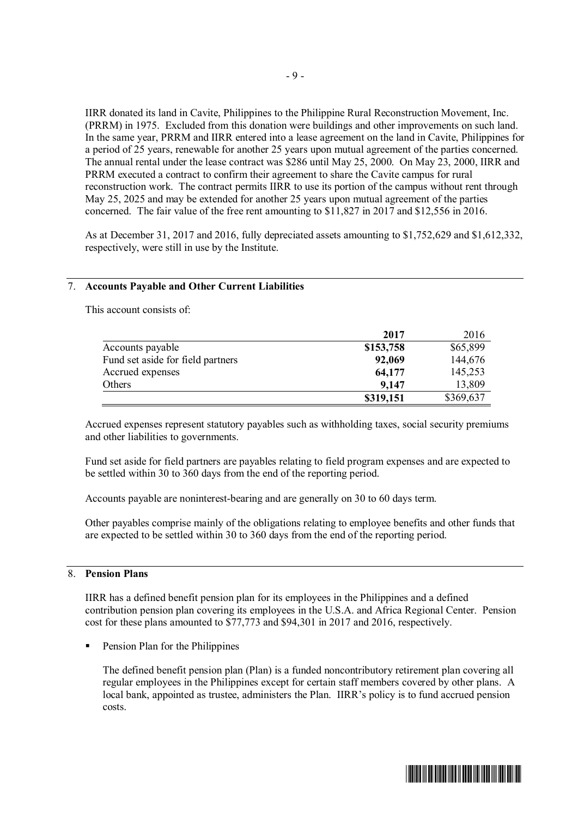IIRR donated its land in Cavite, Philippines to the Philippine Rural Reconstruction Movement, Inc. (PRRM) in 1975. Excluded from this donation were buildings and other improvements on such land. In the same year, PRRM and IIRR entered into a lease agreement on the land in Cavite, Philippines for a period of 25 years, renewable for another 25 years upon mutual agreement of the parties concerned. The annual rental under the lease contract was \$286 until May 25, 2000. On May 23, 2000, IIRR and PRRM executed a contract to confirm their agreement to share the Cavite campus for rural reconstruction work. The contract permits IIRR to use its portion of the campus without rent through May 25, 2025 and may be extended for another 25 years upon mutual agreement of the parties concerned. The fair value of the free rent amounting to \$11,827 in 2017 and \$12,556 in 2016.

As at December 31, 2017 and 2016, fully depreciated assets amounting to \$1,752,629 and \$1,612,332, respectively, were still in use by the Institute.

#### 7. **Accounts Payable and Other Current Liabilities**

This account consists of:

|                                   | 2017      | 2016      |
|-----------------------------------|-----------|-----------|
| Accounts payable                  | \$153,758 | \$65,899  |
| Fund set aside for field partners | 92,069    | 144,676   |
| Accrued expenses                  | 64,177    | 145,253   |
| Others                            | 9,147     | 13,809    |
|                                   | \$319,151 | \$369,637 |

Accrued expenses represent statutory payables such as withholding taxes, social security premiums and other liabilities to governments.

Fund set aside for field partners are payables relating to field program expenses and are expected to be settled within 30 to 360 days from the end of the reporting period.

Accounts payable are noninterest-bearing and are generally on 30 to 60 days term.

Other payables comprise mainly of the obligations relating to employee benefits and other funds that are expected to be settled within 30 to 360 days from the end of the reporting period.

#### 8. **Pension Plans**

IIRR has a defined benefit pension plan for its employees in the Philippines and a defined contribution pension plan covering its employees in the U.S.A. and Africa Regional Center. Pension cost for these plans amounted to \$77,773 and \$94,301 in 2017 and 2016, respectively.

Pension Plan for the Philippines

The defined benefit pension plan (Plan) is a funded noncontributory retirement plan covering all regular employees in the Philippines except for certain staff members covered by other plans. A local bank, appointed as trustee, administers the Plan. IIRR's policy is to fund accrued pension costs.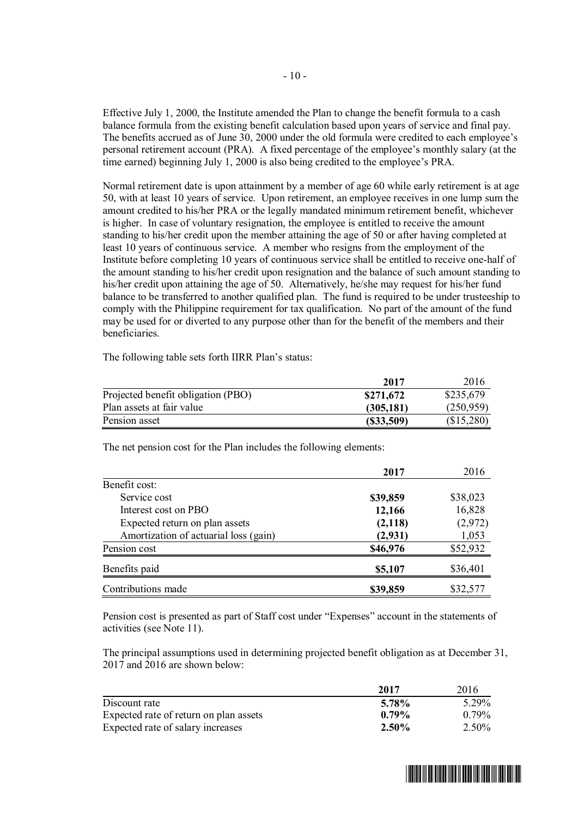Effective July 1, 2000, the Institute amended the Plan to change the benefit formula to a cash balance formula from the existing benefit calculation based upon years of service and final pay. The benefits accrued as of June 30, 2000 under the old formula were credited to each employee's personal retirement account (PRA). A fixed percentage of the employee's monthly salary (at the time earned) beginning July 1, 2000 is also being credited to the employee's PRA.

Normal retirement date is upon attainment by a member of age 60 while early retirement is at age 50, with at least 10 years of service. Upon retirement, an employee receives in one lump sum the amount credited to his/her PRA or the legally mandated minimum retirement benefit, whichever is higher. In case of voluntary resignation, the employee is entitled to receive the amount standing to his/her credit upon the member attaining the age of 50 or after having completed at least 10 years of continuous service. A member who resigns from the employment of the Institute before completing 10 years of continuous service shall be entitled to receive one-half of the amount standing to his/her credit upon resignation and the balance of such amount standing to his/her credit upon attaining the age of 50. Alternatively, he/she may request for his/her fund balance to be transferred to another qualified plan. The fund is required to be under trusteeship to comply with the Philippine requirement for tax qualification. No part of the amount of the fund may be used for or diverted to any purpose other than for the benefit of the members and their beneficiaries.

**2017** 2016 Projected benefit obligation (PBO)  $$271,672$   $$235,679$ Plan assets at fair value **(305,181)** (250,959) Pension asset **(\$33,509)** (\$15,280)

The following table sets forth IIRR Plan's status:

The net pension cost for the Plan includes the following elements:

|                                       | 2017     | 2016     |
|---------------------------------------|----------|----------|
| Benefit cost:                         |          |          |
| Service cost                          | \$39,859 | \$38,023 |
| Interest cost on PBO                  | 12,166   | 16,828   |
| Expected return on plan assets        | (2,118)  | (2,972)  |
| Amortization of actuarial loss (gain) | (2,931)  | 1,053    |
| Pension cost                          | \$46,976 | \$52,932 |
| Benefits paid                         | \$5,107  | \$36,401 |
| Contributions made                    | \$39,859 | \$32,577 |

Pension cost is presented as part of Staff cost under "Expenses" account in the statements of activities (see Note 11).

The principal assumptions used in determining projected benefit obligation as at December 31, 2017 and 2016 are shown below:

|                                        | 2017     | 2016     |
|----------------------------------------|----------|----------|
| Discount rate                          | 5.78%    | 5.29%    |
| Expected rate of return on plan assets | $0.79\%$ | $0.79\%$ |
| Expected rate of salary increases      | $2.50\%$ | $2.50\%$ |

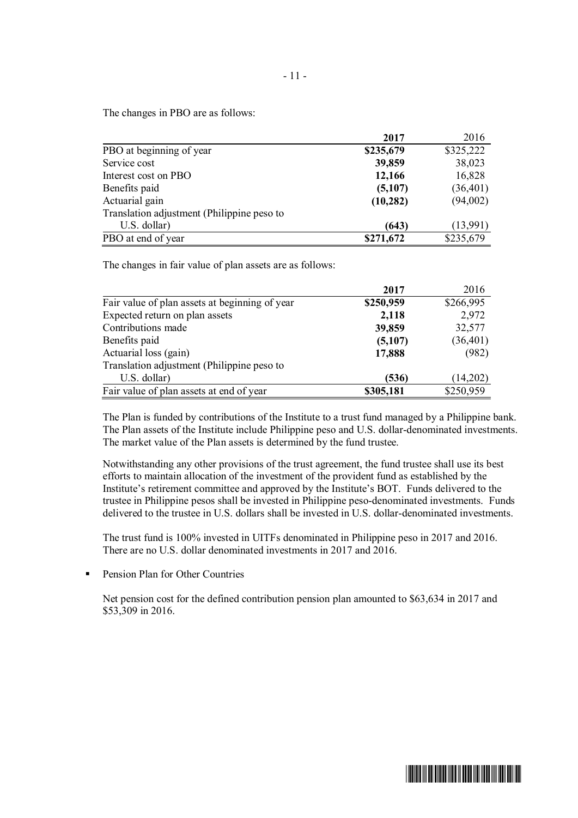The changes in PBO are as follows:

|                                            | 2017      | 2016      |
|--------------------------------------------|-----------|-----------|
| PBO at beginning of year                   | \$235,679 | \$325,222 |
| Service cost                               | 39,859    | 38,023    |
| Interest cost on PBO                       | 12,166    | 16,828    |
| Benefits paid                              | (5,107)   | (36, 401) |
| Actuarial gain                             | (10, 282) | (94,002)  |
| Translation adjustment (Philippine peso to |           |           |
| U.S. dollar)                               | (643)     | (13,991)  |
| PBO at end of year                         | \$271,672 | \$235,679 |

The changes in fair value of plan assets are as follows:

|                                                | 2017      | 2016      |
|------------------------------------------------|-----------|-----------|
| Fair value of plan assets at beginning of year | \$250,959 | \$266,995 |
| Expected return on plan assets                 | 2,118     | 2,972     |
| Contributions made                             | 39,859    | 32,577    |
| Benefits paid                                  | (5,107)   | (36, 401) |
| Actuarial loss (gain)                          | 17,888    | (982)     |
| Translation adjustment (Philippine peso to     |           |           |
| U.S. dollar)                                   | (536)     | (14,202)  |
| Fair value of plan assets at end of year       | \$305,181 | \$250,959 |

The Plan is funded by contributions of the Institute to a trust fund managed by a Philippine bank. The Plan assets of the Institute include Philippine peso and U.S. dollar-denominated investments. The market value of the Plan assets is determined by the fund trustee.

Notwithstanding any other provisions of the trust agreement, the fund trustee shall use its best efforts to maintain allocation of the investment of the provident fund as established by the Institute's retirement committee and approved by the Institute's BOT. Funds delivered to the trustee in Philippine pesos shall be invested in Philippine peso-denominated investments. Funds delivered to the trustee in U.S. dollars shall be invested in U.S. dollar-denominated investments.

The trust fund is 100% invested in UITFs denominated in Philippine peso in 2017 and 2016. There are no U.S. dollar denominated investments in 2017 and 2016.

■ Pension Plan for Other Countries

Net pension cost for the defined contribution pension plan amounted to \$63,634 in 2017 and \$53,309 in 2016.

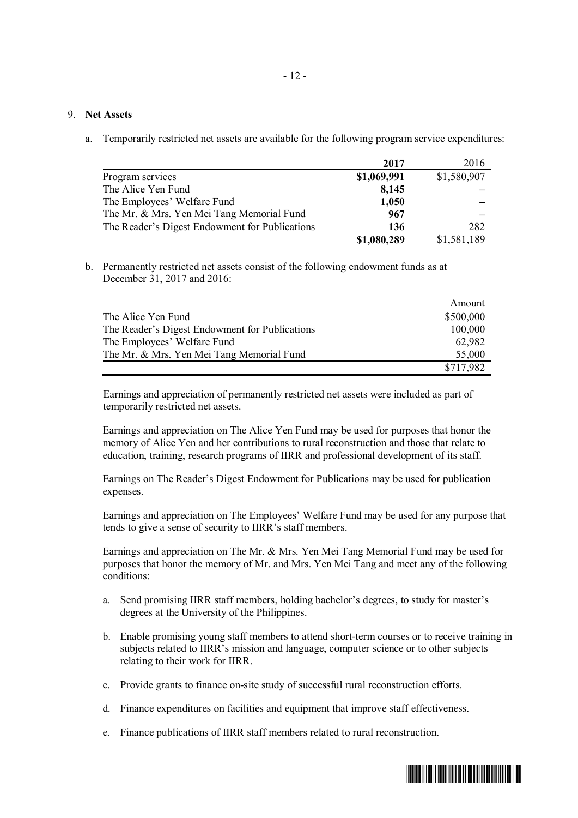# 9. **Net Assets**

a. Temporarily restricted net assets are available for the following program service expenditures:

|                                                | 2017        | 2016        |
|------------------------------------------------|-------------|-------------|
| Program services                               | \$1,069,991 | \$1,580,907 |
| The Alice Yen Fund                             | 8,145       |             |
| The Employees' Welfare Fund                    | 1,050       |             |
| The Mr. & Mrs. Yen Mei Tang Memorial Fund      | 967         |             |
| The Reader's Digest Endowment for Publications | 136         | 282         |
|                                                | \$1,080,289 | \$1,581,189 |

b. Permanently restricted net assets consist of the following endowment funds as at December 31, 2017 and 2016:

|                                                | Amount    |
|------------------------------------------------|-----------|
| The Alice Yen Fund                             | \$500,000 |
| The Reader's Digest Endowment for Publications | 100,000   |
| The Employees' Welfare Fund                    | 62,982    |
| The Mr. & Mrs. Yen Mei Tang Memorial Fund      | 55,000    |
|                                                | \$717,982 |

Earnings and appreciation of permanently restricted net assets were included as part of temporarily restricted net assets.

Earnings and appreciation on The Alice Yen Fund may be used for purposes that honor the memory of Alice Yen and her contributions to rural reconstruction and those that relate to education, training, research programs of IIRR and professional development of its staff.

Earnings on The Reader's Digest Endowment for Publications may be used for publication expenses.

Earnings and appreciation on The Employees' Welfare Fund may be used for any purpose that tends to give a sense of security to IIRR's staff members.

Earnings and appreciation on The Mr. & Mrs. Yen Mei Tang Memorial Fund may be used for purposes that honor the memory of Mr. and Mrs. Yen Mei Tang and meet any of the following conditions:

- a. Send promising IIRR staff members, holding bachelor's degrees, to study for master's degrees at the University of the Philippines.
- b. Enable promising young staff members to attend short-term courses or to receive training in subjects related to IIRR's mission and language, computer science or to other subjects relating to their work for IIRR.
- c. Provide grants to finance on-site study of successful rural reconstruction efforts.
- d. Finance expenditures on facilities and equipment that improve staff effectiveness.
- e. Finance publications of IIRR staff members related to rural reconstruction.

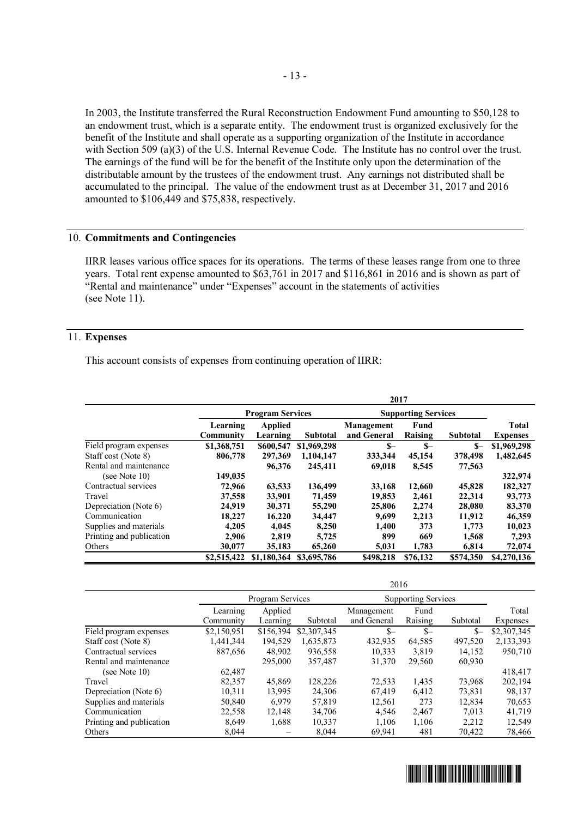In 2003, the Institute transferred the Rural Reconstruction Endowment Fund amounting to \$50,128 to an endowment trust, which is a separate entity. The endowment trust is organized exclusively for the benefit of the Institute and shall operate as a supporting organization of the Institute in accordance with Section 509 (a)(3) of the U.S. Internal Revenue Code. The Institute has no control over the trust. The earnings of the fund will be for the benefit of the Institute only upon the determination of the distributable amount by the trustees of the endowment trust. Any earnings not distributed shall be accumulated to the principal. The value of the endowment trust as at December 31, 2017 and 2016 amounted to \$106,449 and \$75,838, respectively.

#### 10. **Commitments and Contingencies**

IIRR leases various office spaces for its operations. The terms of these leases range from one to three years. Total rent expense amounted to \$63,761 in 2017 and \$116,861 in 2016 and is shown as part of "Rental and maintenance" under "Expenses" account in the statements of activities (see Note 11).

# 11. **Expenses**

This account consists of expenses from continuing operation of IIRR:

|                          | 2017                    |                            |                 |                            |                 |                 |                                 |
|--------------------------|-------------------------|----------------------------|-----------------|----------------------------|-----------------|-----------------|---------------------------------|
|                          | <b>Program Services</b> |                            |                 | <b>Supporting Services</b> |                 |                 |                                 |
|                          | Learning<br>Community   | <b>Applied</b><br>Learning | <b>Subtotal</b> | Management<br>and General  | Fund<br>Raising | <b>Subtotal</b> | <b>Total</b><br><b>Expenses</b> |
| Field program expenses   | \$1,368,751             | \$600,547                  | \$1,969,298     | $S-$                       | $S-$            | $S-$            | \$1,969,298                     |
| Staff cost (Note 8)      | 806,778                 | 297,369                    | 1,104,147       | 333,344                    | 45,154          | 378,498         | 1,482,645                       |
| Rental and maintenance   |                         | 96,376                     | 245,411         | 69,018                     | 8,545           | 77,563          |                                 |
| (see Note $10$ )         | 149,035                 |                            |                 |                            |                 |                 | 322,974                         |
| Contractual services     | 72,966                  | 63,533                     | 136,499         | 33,168                     | 12,660          | 45,828          | 182,327                         |
| Travel                   | 37,558                  | 33,901                     | 71,459          | 19,853                     | 2,461           | 22,314          | 93,773                          |
| Depreciation (Note 6)    | 24,919                  | 30,371                     | 55,290          | 25,806                     | 2,274           | 28,080          | 83,370                          |
| Communication            | 18,227                  | 16,220                     | 34,447          | 9.699                      | 2,213           | 11,912          | 46,359                          |
| Supplies and materials   | 4.205                   | 4.045                      | 8,250           | 1,400                      | 373             | 1.773           | 10,023                          |
| Printing and publication | 2,906                   | 2.819                      | 5,725           | 899                        | 669             | 1,568           | 7,293                           |
| Others                   | 30,077                  | 35,183                     | 65,260          | 5,031                      | 1.783           | 6.814           | 72,074                          |
|                          | \$2,515,422             | \$1,180,364                | \$3,695,786     | \$498.218                  | \$76,132        | \$574,350       | \$4,270,136                     |

|                          | 2016             |           |             |                            |         |          |             |
|--------------------------|------------------|-----------|-------------|----------------------------|---------|----------|-------------|
|                          | Program Services |           |             | <b>Supporting Services</b> |         |          |             |
|                          | Learning         | Applied   |             | Management                 | Fund    |          | Total       |
|                          | Community        | Learning  | Subtotal    | and General                | Raising | Subtotal | Expenses    |
| Field program expenses   | \$2,150,951      | \$156,394 | \$2,307,345 | $S-$                       | $S-$    | $S-$     | \$2,307,345 |
| Staff cost (Note 8)      | 1,441,344        | 194,529   | 1,635,873   | 432,935                    | 64,585  | 497,520  | 2,133,393   |
| Contractual services     | 887,656          | 48,902    | 936,558     | 10,333                     | 3,819   | 14,152   | 950,710     |
| Rental and maintenance   |                  | 295,000   | 357,487     | 31,370                     | 29,560  | 60,930   |             |
| (see Note 10)            | 62,487           |           |             |                            |         |          | 418,417     |
| Travel                   | 82,357           | 45.869    | 128,226     | 72,533                     | 1,435   | 73.968   | 202,194     |
| Depreciation (Note 6)    | 10,311           | 13,995    | 24,306      | 67,419                     | 6,412   | 73,831   | 98,137      |
| Supplies and materials   | 50,840           | 6.979     | 57.819      | 12,561                     | 273     | 12,834   | 70,653      |
| Communication            | 22,558           | 12,148    | 34,706      | 4,546                      | 2,467   | 7,013    | 41,719      |
| Printing and publication | 8,649            | 1,688     | 10,337      | 1,106                      | 1,106   | 2,212    | 12,549      |
| Others                   | 8,044            |           | 8.044       | 69,941                     | 481     | 70,422   | 78,466      |